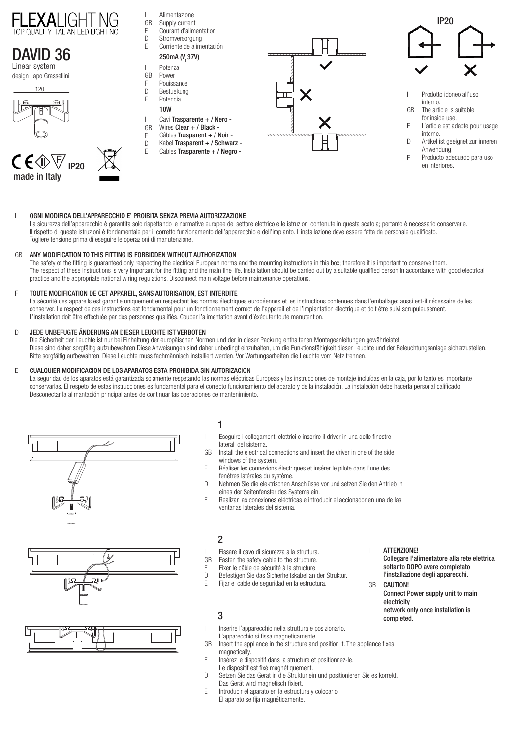





- Prodotto idoneo all'uso interno. I
- The article is suitable for inside use. GB
- L'article est adapte pour usage interne. F
- Artikel ist geeignet zur inneren Anwendung.  $\overline{D}$
- Producto adecuado para uso en interiores. E

#### $\overline{1}$ OGNI MODIFICA DELL'APPARECCHIO E' PROIBITA SENZA PREVIA AUTORIZZAZIONE I

La sicurezza dell'apparecchio è garantita solo rispettando le normative europee del settore elettrico e le istruzioni contenute in questa scatola; pertanto è necessario conservarle. Il rispetto di queste istruzioni è fondamentale per il corretto funzionamento dell'apparecchio e dell'impianto. L'installazione deve essere fatta da personale qualificato. Togliere tensione prima di eseguire le operazioni di manutenzione.

### ANY MODIFICATION TO THIS FITTING IS FORBIDDEN WITHOUT AUTHORIZATION GB

The safety of the fitting is guaranteed only respecting the electrical European norms and the mounting instructions in this box; therefore it is important to conserve them. The respect of these instructions is very important for the fitting and the main line life. Installation should be carried out by a suitable qualified person in accordance with good electrical practice and the appropriate national wiring regulations. Disconnect main voltage before maintenance operations.

### TOUTE MODIFICATION DE CET APPAREIL, SANS AUTORISATION, EST INTERDITE F

La sécurité des appareils est garantie uniquement en respectant les normes électriques européennes et les instructions contenues dans l'emballage; aussi est-il nécessaire de les conserver. Le respect de ces instructions est fondamental pour un fonctionnement correct de l'appareil et de l'implantation électrique et doit être suivi scrupuleusement. L'installation doit être effectuée par des personnes qualifiés. Couper l'alimentation avant d'éxécuter toute manutention.

### JEDE UNBEFUGTE ÄNDERUNG AN DIESER LEUCHTE IST VERBOTEN  $\Box$

Die Sicherheit der Leuchte ist nur bei Einhaltung der europäischen Normen und der in dieser Packung enthaltenen Montageanleitungen gewährleistet. Diese sind daher sorgfältig aufzubewahren.Diese Anweisungen sind daher unbedingt einzuhalten, um die Funktionsfähigkeit dieser Leuchte und der Beleuchtungsanlage sicherzustellen. Bitte sorgfältig aufbewahren. Diese Leuchte muss fachmännisch installiert werden. Vor Wartungsarbeiten die Leuchte vom Netz trennen.

### CUALQUIER MODIFICACION DE LOS APARATOS ESTA PROHIBIDA SIN AUTORIZACION E

La seguridad de los aparatos está garantizada solamente respetando las normas eléctricas Europeas y las instrucciones de montaje incluídas en la caja, por lo tanto es importante conservarlas. El respeto de estas instrucciones es fundamental para el correcto funcionamiento del aparato y de la instalación. La instalación debe hacerla personal calificado. Desconectar la alimantación principal antes de continuar las operaciones de mantenimiento.







# 1

I

 $\overline{1}$ 

- Eseguire i collegamenti elettrici e inserire il driver in una delle finestre laterali del sistema.
- Install the electrical connections and insert the driver in one of the side windows of the system. GB
- Réaliser les connexions électriques et insérer le pilote dans l'une des fenêtres latérales du système. F
- Nehmen Sie die elektrischen Anschlüsse vor und setzen Sie den Antrieb in eines der Seitenfenster des Systems ein.  $\overline{D}$
- Realizar las conexiones eléctricas e introducir el accionador en una de las ventanas laterales del sistema. E

## 2

- Fissare il cavo di sicurezza alla struttura.
- Fasten the safety cable to the structure. I GB
- Fixer le câble de sécurité à la structure. F
- Befestigen Sie das Sicherheitskabel an der Struktur.  $\Box$
- Fijar el cable de seguridad en la estructura. E

## 3

I

F

- Inserire l'apparecchio nella struttura e posizionarlo.  $\overline{1}$ L'apparecchio si fissa magneticamente.
- Insert the appliance in the structure and position it. The appliance fixes magnetically. GB
	- Insérez le dispositif dans la structure et positionnez-le.
- Le dispositif est fixé magnétiquement.
- Setzen Sie das Gerät in die Struktur ein und positionieren Sie es korrekt.  $\overline{D}$
- Das Gerät wird magnetisch fixiert.
- Introducir el aparato en la estructura y colocarlo. E
- El aparato se fija magnéticamente.

ATTENZIONE!

I

Collegare l'alimentatore alla rete elettrica soltanto DOPO avere completato l'installazione degli apparecchi.

CAUTION! Connect Power supply unit to main electricity network only once installation is completed. **GR**